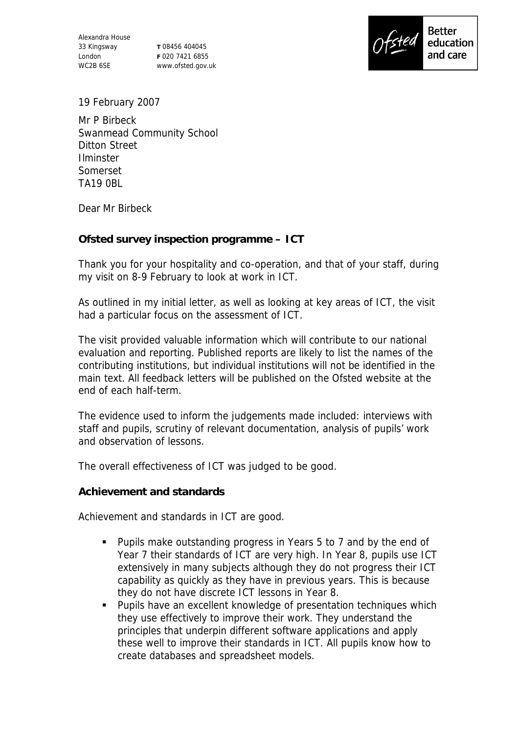Alexandra House 33 Kingsway London WC2B 6SE

**T** 08456 404045 **F** 020 7421 6855 www.ofsted.gov.uk



19 February 2007

Mr P Birbeck Swanmead Community School Ditton Street Ilminster Somerset TA19 0BL

Dear Mr Birbeck

**Ofsted survey inspection programme – ICT**

Thank you for your hospitality and co-operation, and that of your staff, during my visit on 8-9 February to look at work in ICT.

As outlined in my initial letter, as well as looking at key areas of ICT, the visit had a particular focus on the assessment of ICT.

The visit provided valuable information which will contribute to our national evaluation and reporting. Published reports are likely to list the names of the contributing institutions, but individual institutions will not be identified in the main text. All feedback letters will be published on the Ofsted website at the end of each half-term.

The evidence used to inform the judgements made included: interviews with staff and pupils, scrutiny of relevant documentation, analysis of pupils' work and observation of lessons.

The overall effectiveness of ICT was judged to be good.

**Achievement and standards**

Achievement and standards in ICT are good.

- Pupils make outstanding progress in Years 5 to 7 and by the end of Year 7 their standards of ICT are very high. In Year 8, pupils use ICT extensively in many subjects although they do not progress their ICT capability as quickly as they have in previous years. This is because they do not have discrete ICT lessons in Year 8.
- Pupils have an excellent knowledge of presentation techniques which they use effectively to improve their work. They understand the principles that underpin different software applications and apply these well to improve their standards in ICT. All pupils know how to create databases and spreadsheet models.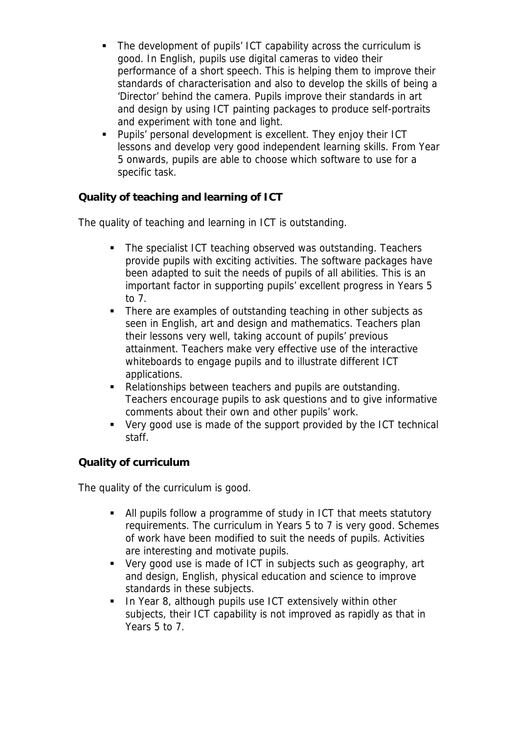- The development of pupils' ICT capability across the curriculum is good. In English, pupils use digital cameras to video their performance of a short speech. This is helping them to improve their standards of characterisation and also to develop the skills of being a 'Director' behind the camera. Pupils improve their standards in art and design by using ICT painting packages to produce self-portraits and experiment with tone and light.
- Pupils' personal development is excellent. They enjoy their ICT lessons and develop very good independent learning skills. From Year 5 onwards, pupils are able to choose which software to use for a specific task.

**Quality of teaching and learning of ICT**

The quality of teaching and learning in ICT is outstanding.

- The specialist ICT teaching observed was outstanding. Teachers provide pupils with exciting activities. The software packages have been adapted to suit the needs of pupils of all abilities. This is an important factor in supporting pupils' excellent progress in Years 5 to 7.
- There are examples of outstanding teaching in other subjects as seen in English, art and design and mathematics. Teachers plan their lessons very well, taking account of pupils' previous attainment. Teachers make very effective use of the interactive whiteboards to engage pupils and to illustrate different ICT applications.
- Relationships between teachers and pupils are outstanding. Teachers encourage pupils to ask questions and to give informative comments about their own and other pupils' work.
- Very good use is made of the support provided by the ICT technical staff.

## **Quality of curriculum**

The quality of the curriculum is good.

- All pupils follow a programme of study in ICT that meets statutory requirements. The curriculum in Years 5 to 7 is very good. Schemes of work have been modified to suit the needs of pupils. Activities are interesting and motivate pupils.
- Very good use is made of ICT in subjects such as geography, art and design, English, physical education and science to improve standards in these subjects.
- **IF 15 Theorget 15 Theory 10 Theory 10 Theory 10 Theory 10 Theory Inc.** In Year 8, although pupils use In Year 0 subjects, their ICT capability is not improved as rapidly as that in Years 5 to 7.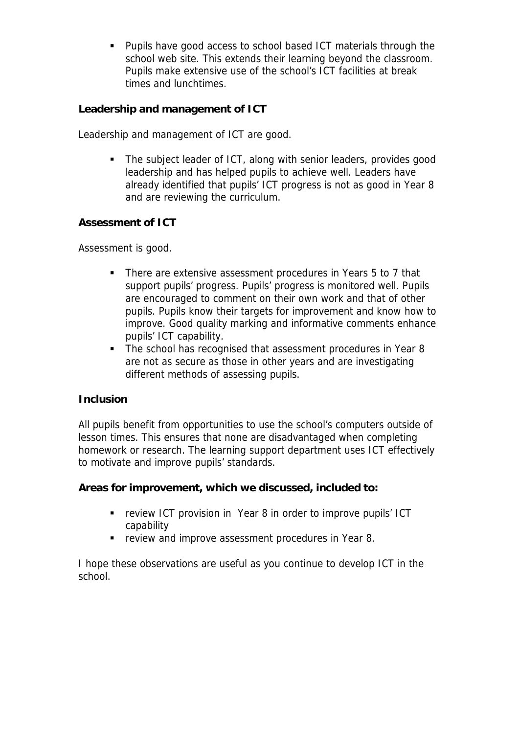Pupils have good access to school based ICT materials through the school web site. This extends their learning beyond the classroom. Pupils make extensive use of the school's ICT facilities at break times and lunchtimes.

**Leadership and management of ICT**

Leadership and management of ICT are good.

• The subject leader of ICT, along with senior leaders, provides good leadership and has helped pupils to achieve well. Leaders have already identified that pupils' ICT progress is not as good in Year 8 and are reviewing the curriculum.

**Assessment of ICT**

Assessment is good.

- There are extensive assessment procedures in Years 5 to 7 that support pupils' progress. Pupils' progress is monitored well. Pupils are encouraged to comment on their own work and that of other pupils. Pupils know their targets for improvement and know how to improve. Good quality marking and informative comments enhance pupils' ICT capability.
- The school has recognised that assessment procedures in Year 8 are not as secure as those in other years and are investigating different methods of assessing pupils.

## **Inclusion**

All pupils benefit from opportunities to use the school's computers outside of lesson times. This ensures that none are disadvantaged when completing homework or research. The learning support department uses ICT effectively to motivate and improve pupils' standards.

**Areas for improvement, which we discussed, included to:**

- **Fig. 2** review ICT provision in Year 8 in order to improve pupils' ICT capability
- **F** review and improve assessment procedures in Year 8.

I hope these observations are useful as you continue to develop ICT in the school.